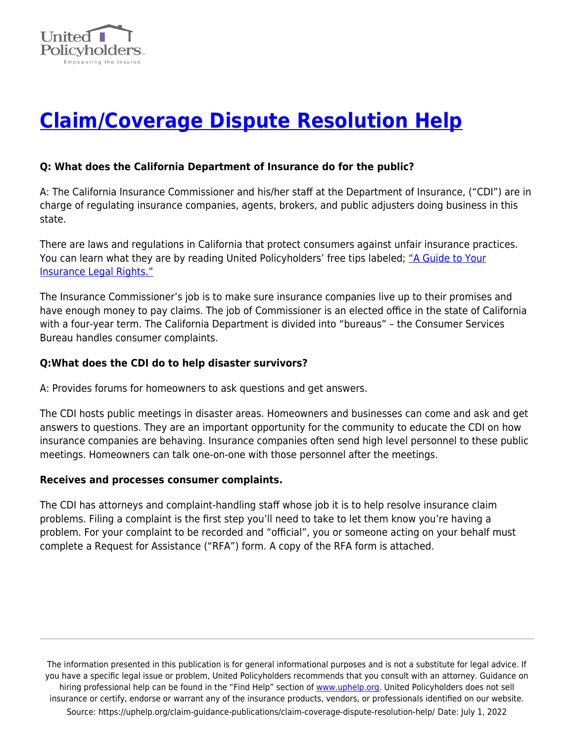

# **[Claim/Coverage Dispute Resolution Help](https://uphelp.org/claim-guidance-publications/claim-coverage-dispute-resolution-help/)**

## **Q: What does the California Department of Insurance do for the public?**

A: The California Insurance Commissioner and his/her staff at the Department of Insurance, ("CDI") are in charge of regulating insurance companies, agents, brokers, and public adjusters doing business in this state.

There are laws and regulations in California that protect consumers against unfair insurance practices. You can learn what they are by reading United Policyholders' free tips labeled; ["A Guide to Your](https://uphelp.org/claim-guidance-publications/a-guide-to-your-insurance-legal-rights-in-california/) [Insurance Legal Rights."](https://uphelp.org/claim-guidance-publications/a-guide-to-your-insurance-legal-rights-in-california/)

The Insurance Commissioner's job is to make sure insurance companies live up to their promises and have enough money to pay claims. The job of Commissioner is an elected office in the state of California with a four-year term. The California Department is divided into "bureaus" – the Consumer Services Bureau handles consumer complaints.

#### **Q:What does the CDI do to help disaster survivors?**

A: Provides forums for homeowners to ask questions and get answers.

The CDI hosts public meetings in disaster areas. Homeowners and businesses can come and ask and get answers to questions. They are an important opportunity for the community to educate the CDI on how insurance companies are behaving. Insurance companies often send high level personnel to these public meetings. Homeowners can talk one-on-one with those personnel after the meetings.

#### **Receives and processes consumer complaints.**

The CDI has attorneys and complaint-handling staff whose job it is to help resolve insurance claim problems. Filing a complaint is the first step you'll need to take to let them know you're having a problem. For your complaint to be recorded and "official", you or someone acting on your behalf must complete a Request for Assistance ("RFA") form. A copy of the RFA form is attached.

The information presented in this publication is for general informational purposes and is not a substitute for legal advice. If you have a specific legal issue or problem, United Policyholders recommends that you consult with an attorney. Guidance on hiring professional help can be found in the "Find Help" section of [www.uphelp.org.](http://www.uphelp.org/) United Policyholders does not sell insurance or certify, endorse or warrant any of the insurance products, vendors, or professionals identified on our website. Source: https://uphelp.org/claim-guidance-publications/claim-coverage-dispute-resolution-help/ Date: July 1, 2022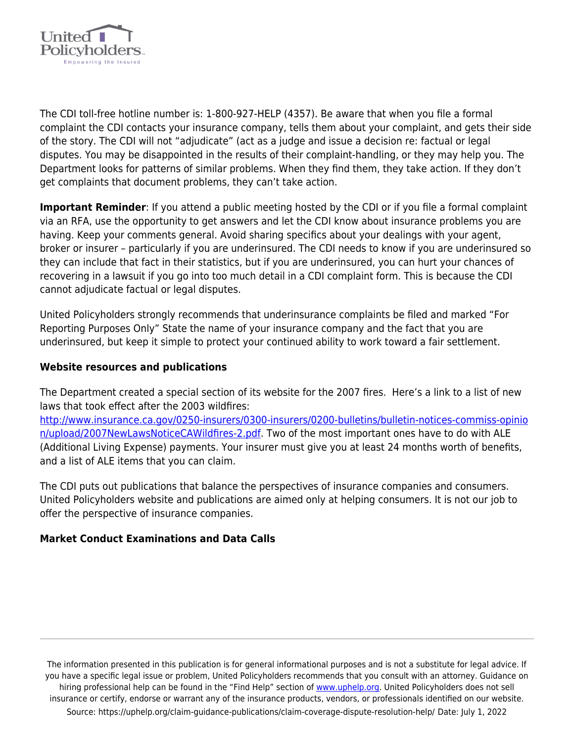

The CDI toll-free hotline number is: 1-800-927-HELP (4357). Be aware that when you file a formal complaint the CDI contacts your insurance company, tells them about your complaint, and gets their side of the story. The CDI will not "adjudicate" (act as a judge and issue a decision re: factual or legal disputes. You may be disappointed in the results of their complaint-handling, or they may help you. The Department looks for patterns of similar problems. When they find them, they take action. If they don't get complaints that document problems, they can't take action.

**Important Reminder**: If you attend a public meeting hosted by the CDI or if you file a formal complaint via an RFA, use the opportunity to get answers and let the CDI know about insurance problems you are having. Keep your comments general. Avoid sharing specifics about your dealings with your agent, broker or insurer – particularly if you are underinsured. The CDI needs to know if you are underinsured so they can include that fact in their statistics, but if you are underinsured, you can hurt your chances of recovering in a lawsuit if you go into too much detail in a CDI complaint form. This is because the CDI cannot adjudicate factual or legal disputes.

United Policyholders strongly recommends that underinsurance complaints be filed and marked "For Reporting Purposes Only" State the name of your insurance company and the fact that you are underinsured, but keep it simple to protect your continued ability to work toward a fair settlement.

## **Website resources and publications**

The Department created a special section of its website for the 2007 fires. Here's a link to a list of new laws that took effect after the 2003 wildfires:

[http://www.insurance.ca.gov/0250-insurers/0300-insurers/0200-bulletins/bulletin-notices-commiss-opinio](http://www.insurance.ca.gov/0250-insurers/0300-insurers/0200-bulletins/bulletin-notices-commiss-opinion/upload/2007NewLawsNoticeCAWildfires-2.pdf) [n/upload/2007NewLawsNoticeCAWildfires-2.pdf](http://www.insurance.ca.gov/0250-insurers/0300-insurers/0200-bulletins/bulletin-notices-commiss-opinion/upload/2007NewLawsNoticeCAWildfires-2.pdf). Two of the most important ones have to do with ALE (Additional Living Expense) payments. Your insurer must give you at least 24 months worth of benefits, and a list of ALE items that you can claim.

The CDI puts out publications that balance the perspectives of insurance companies and consumers. United Policyholders website and publications are aimed only at helping consumers. It is not our job to offer the perspective of insurance companies.

#### **Market Conduct Examinations and Data Calls**

The information presented in this publication is for general informational purposes and is not a substitute for legal advice. If you have a specific legal issue or problem, United Policyholders recommends that you consult with an attorney. Guidance on hiring professional help can be found in the "Find Help" section of [www.uphelp.org.](http://www.uphelp.org/) United Policyholders does not sell insurance or certify, endorse or warrant any of the insurance products, vendors, or professionals identified on our website. Source: https://uphelp.org/claim-guidance-publications/claim-coverage-dispute-resolution-help/ Date: July 1, 2022